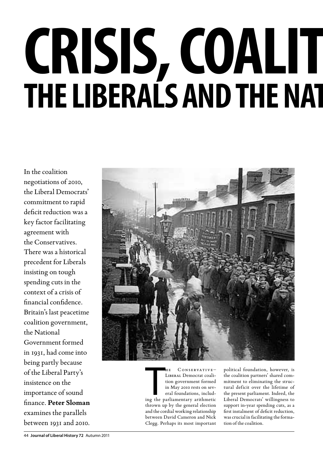# **CRISIS, COALIT The Liberals and the National Government, 1931**

In the coalition negotiations of 2010, the Liberal Democrats' commitment to rapid deficit reduction was a key factor facilitating agreement with the Conservatives. There was a historical precedent for Liberals insisting on tough spending cuts in the context of a crisis of financial confidence. Britain's last peacetime coalition government, the National Government formed in 1931, had come into being partly because of the Liberal Party's insistence on the importance of sound finance. **Peter Sloman** examines the parallels between 1931 and 2010.



HE CONSERVATIVE-<br>LIBERAL Democrat coali-<br>tion government formed<br>in May 2010 rests on sev-<br>eral foundations, includ-<br>ing the parliamentary arithmetic  $Conserve$ LIBERAL Democrat coalition government formed in May 2010 rests on several foundations, includthrown up by the general election and the cordial working relationship between David Cameron and Nick Clegg. Perhaps its most important

political foundation, however, is the coalition partners' shared commitment to eliminating the structural deficit over the lifetime of the present parliament. Indeed, the Liberal Democrats' willingness to support in-year spending cuts, as a first instalment of deficit reduction, was crucial in facilitating the formation of the coalition.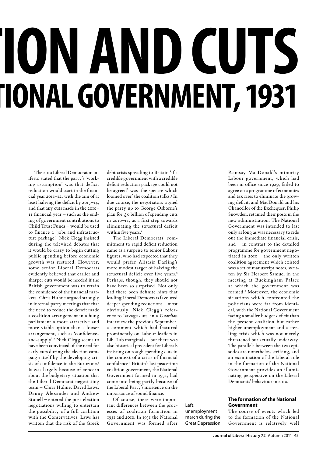# **ON AND CUTS The Liberals and the National Government, 1931**

The 2010 Liberal Democrat manifesto stated that the party's 'working assumption' was that deficit reduction would start in the financial year 2011–12, with the aim of at least halving the deficit by 2013–14, and that any cuts made in the 2010– 11 financial year – such as the ending of government contributions to Child Trust Funds – would be used to finance a 'jobs and infrastructure package'.1 Nick Clegg insisted during the televised debates that it would be crazy to begin cutting public spending before economic growth was restored. However, some senior Liberal Democrats evidently believed that earlier and sharper cuts would be needed if the British government was to retain the confidence of the financial markets. Chris Huhne argued strongly in internal party meetings that that the need to reduce the deficit made a coalition arrangement in a hung parliament a more attractive and more viable option than a looser arrangement, such as 'confidenceand-supply'.2 Nick Clegg seems to have been convinced of the need for early cuts during the election campaign itself by the developing crisis of confidence in the Eurozone.<sup>3</sup> It was largely because of concern about the budgetary situation that the Liberal Democrat negotiating team – Chris Huhne, David Laws, Danny Alexander and Andrew Stunell – entered the post-election negotiations willing to entertain the possibility of a full coalition with the Conservatives. Laws has written that the risk of the Greek

debt crisis spreading to Britain 'if a credible government with a credible deficit reduction package could not be agreed' was 'the spectre which loomed over' the coalition talks.4 In due course, the negotiators signed the party up to George Osborne's plan for  $\zeta$ 6 billion of spending cuts in 2010–11, as a first step towards eliminating the structural deficit within five years.5

The Liberal Democrats' commitment to rapid deficit reduction came as a surprise to senior Labour figures, who had expected that they would prefer Alistair Darling's more modest target of halving the structural deficit over five years.<sup>6</sup> Perhaps, though, they should not have been so surprised. Not only had there been definite hints that leading Liberal Democrats favoured deeper spending reductions – most obviously, Nick Clegg's reference to 'savage cuts' in a *Guardian*  interview the previous September, a comment which had featured prominently on Labour leaflets in Lib–Lab marginals – but there was also historical precedent for Liberals insisting on tough spending cuts in the context of a crisis of financial confidence.7 Britain's last peacetime coalition government, the National Government formed in 1931, had come into being partly because of the Liberal Party's insistence on the importance of sound finance.

Of course, there were important differences between the processes of coalition formation in 1931 and 2010. In 1931 the National Government was formed after

Left: unemployment march during the Great Depression Ramsay MacDonald's minority Labour government, which had been in office since 1929, failed to agree on a programme of economies and tax rises to eliminate the growing deficit, and MacDonald and his Chancellor of the Exchequer, Philip Snowden, retained their posts in the new administration. The National Government was intended to last only as long as was necessary to ride out the immediate financial crisis, and – in contrast to the detailed programme for government negotiated in 2010 – the only written coalition agreement which existed was a set of manuscript notes, written by Sir Herbert Samuel in the meeting at Buckingham Palace at which the government was formed.8 Moreover, the economic situations which confronted the politicians were far from identical, with the National Government facing a smaller budget deficit than the present coalition but rather higher unemployment and a sterling crisis which was not merely threatened but actually underway. The parallels between the two episodes are nonetheless striking, and an examination of the Liberal role in the formation of the National Government provides an illuminating perspective on the Liberal Democrats' behaviour in 2010.

**The formation of the National Government** 

The course of events which led to the formation of the National Government is relatively well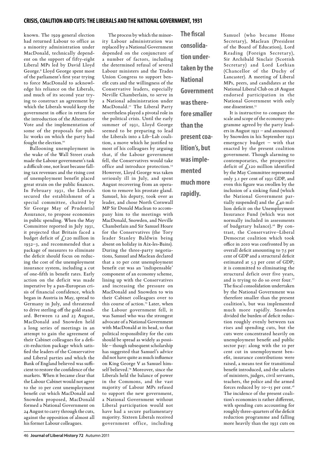## **crisis, coalition and cuts: the liberals and the national government, 1931**

known. The 1929 general election had returned Labour to office as a minority administration under MacDonald, technically dependent on the support of fifty-eight Liberal MPs led by David Lloyd George.9 Lloyd George spent most of the parliament's first year trying to force MacDonald to acknowledge his reliance on the Liberals, and much of its second year trying to construct an agreement by which the Liberals would keep the government in office in return for the introduction of the Alternative Vote and the implementation of some of the proposals for public works on which the party had fought the election.<sup>10</sup>

Ballooning unemployment in the wake of the Wall Street crash made the Labour government's task a difficult one, not least because falling tax revenues and the rising cost of unemployment benefit placed great strain on the public finances. In February 1931, the Liberals secured the establishment of a special committee, chaired by Sir George May of Prudential Assurance, to propose economies in public spending. When the May Committee reported in July 1931, it projected that Britain faced a budget deficit of  $\int_{\mathcal{L}} I$  20 million in 1932–3, and recommended that a package of measures to eliminate the deficit should focus on reducing the cost of the unemployment insurance system, including a cut of one-fifth in benefit rates. Early action on the deficit was made imperative by a pan-European crisis of financial confidence, which began in Austria in May, spread to Germany in July, and threatened to drive sterling off the gold standard. Between 12 and 23 August, MacDonald and Snowden held a long series of meetings in an attempt to gain the agreement of their Cabinet colleagues for a deficit-reduction package which satisfied the leaders of the Conservative and Liberal parties and which the Bank of England believed was sufficient to restore the confidence of the markets. When it became clear that the Labour Cabinet would not agree to the 10 per cent unemployment benefit cut which MacDonald and Snowden proposed, MacDonald formed a National Government on 24 August to carry through the cuts, against the opposition of almost all his former Labour colleagues.

The process by which the minority Labour administration was replaced by a National Government depended on the conjuncture of a number of factors, including the determined refusal of several Labour ministers and the Trades Union Congress to support benefit cuts and the willingness of the Conservative leaders, especially Neville Chamberlain, to serve in a National administration under MacDonald.11 The Liberal Party nevertheless played a pivotal role in the political crisis. Until the early summer of 1931, Lloyd George seemed to be preparing to lead the Liberals into a Lib–Lab coalition, a move which he justified to most of his colleagues by arguing that, if the Labour government fell, the Conservatives would take office and introduce protection.<sup>12</sup> However, Lloyd George was taken seriously ill in July, and spent August recovering from an operation to remove his prostate gland. Samuel, his deputy, took over as leader, and chose North Cornwall MP Sir Donald Maclean to accompany him to the meetings with MacDonald, Snowden, and Neville Chamberlain and Sir Samuel Hoare for the Conservatives (the Tory leader Stanley Baldwin being absent on holiday in Aix-les-Bains). During the three-party negotiations, Samuel and Maclean declared that a 10 per cent unemployment benefit cut was an 'indispensable' component of an economy scheme, lining up with the Conservatives and increasing the pressure on MacDonald and Snowden to win their Cabinet colleagues over to this course of action.<sup>13</sup> Later, when the Labour government fell, it was Samuel who was the strongest advocate of a National Government with MacDonald at its head, so that political responsibility for the cuts should be spread as widely as possible – though subsequent scholarship has suggested that Samuel's advice did not have quite as much influence on King George V as Samuel himself believed.<sup>14</sup> Moreover, since the Liberals held the balance of power in the Commons, and the vast majority of Labour MPs refused to support the new government, a National Government without Liberal participation would not have had a secure parliamentary majority. Sixteen Liberals received government office, including

**The fiscal consolidation undertaken by the National Government was therefore smaller than the present coalition's, but was implemented much more rapidly.**

Samuel (who became Home Secretary), Maclean (President of the Board of Education), Lord Reading (Foreign Secretary), Sir Archibald Sinclair (Scottish Secretary) and Lord Lothian (Chancellor of the Duchy of Lancaster). A meeting of Liberal MPs, peers, and candidates at the National Liberal Club on 28 August endorsed participation in the National Government with only one dissentient.<sup>15</sup>

It is instructive to compare the scale and scope of the economy programme agreed by the party leaders in August 1931 – and announced by Snowden in his September 1931 emergency budget – with that enacted by the present coalition government. Though alarming to contemporaries, the prospective deficit of  $f_{120}$  million identified by the May Committee represented only 3.1 per cent of 1931 GDP, and even this figure was swollen by the inclusion of a sinking fund (which the National Government partially suspended) and the  $\ell$ ,40 million deficit on the Unemployment Insurance Fund (which was not normally included in assessments of budgetary balance).<sup>16</sup> By contrast, the Conservative–Liberal Democrat coalition which took office in 2010 was confronted by an overall deficit amounting to 7.5 per cent of GDP and a structural deficit estimated at 5.3 per cent of GDP; it is committed to eliminating the structural deficit over five years, and is trying to do so over four.<sup>17</sup> The fiscal consolidation undertaken by the National Government was therefore smaller than the present coalition's, but was implemented much more rapidly. Snowden divided the burden of deficit reduction roughly evenly between tax rises and spending cuts, but the cuts were concentrated heavily on unemployment benefit and public sector pay: along with the 10 per cent cut in unemployment benefit, insurance contributions were raised, a means test for transitional benefit introduced, and the salaries of ministers, judges, civil servants, teachers, the police and the armed forces reduced by 10-15 per cent.<sup>18</sup> The incidence of the present coalition's economies is rather different, with spending cuts accounting for roughly three-quarters of the deficit reduction programme and falling more heavily than the 1931 cuts on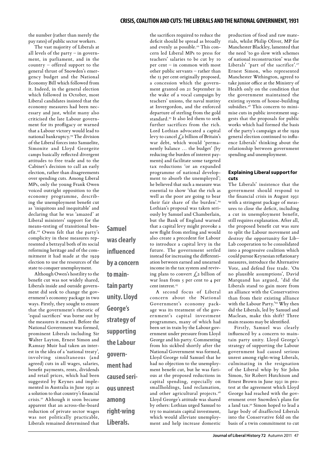the number (rather than merely the pay rates) of public sector workers.

The vast majority of Liberals at all levels of the party – in government, in parliament, and in the country – offered support to the general thrust of Snowden's emergency budget and the National Economy Bill which followed from it. Indeed, in the general election which followed in October, most Liberal candidates insisted that the economy measures had been necessary and just, whilst many also criticised the late Labour government for its profligacy or warned that a Labour victory would lead to national bankruptcy.19 The division of the Liberal forces into Samuelite, Simonite and Lloyd Georgeite camps basically reflected divergent attitudes to free trade and to the Cabinet's decision to call an early election, rather than disagreements over spending cuts. Among Liberal MPs, only the young Frank Owen voiced outright opposition to the economy programme, describing the unemployment benefit cut as 'iniquitous and inequitable' and declaring that he was 'amazed' at Liberal ministers' support for the means-testing of transitional benefit.20 Owen felt that the party's complicity in these measures represented a betrayal both of its social reforming heritage and of the commitment it had made at the 1929 election to use the resources of the state to conquer unemployment.

Although Owen's hostility to the benefit cut was not widely shared, Liberals inside and outside government did seek to change the government's economy package in two ways. Firstly, they sought to ensure that the government's rhetoric of 'equal sacrifices' was borne out by the measures it enacted. Before the National Government was formed, prominent Liberals including Sir Walter Layton, Ernest Simon and Ramsay Muir had taken an interest in the idea of a 'national treaty', involving simultaneous (and agreed) cuts in all wages, salaries, benefit payments, rents, dividends and retail prices, which had been suggested by Keynes and implemented in Australia in June 1931 as a solution to that country's financial crisis.21 Although it soon became apparent that an across-the-board reduction of private sector wages was not politically practicable, Liberals remained determined that

**Samuel was clearly influenced by a concern to maintain party unity. Lloyd George's strategy of supporting the Labour government had caused serious unrest among right-wing Liberals.**

the sacrifices required to reduce the deficit should be spread as broadly and evenly as possible.<sup>22</sup> This concern led Liberal MPs to press for teachers' salaries to be cut by 10 per cent – in common with most other public servants – rather than the 15 per cent originally proposed, a concession which the government granted on 21 September in the wake of a vocal campaign by teachers' unions, the naval mutiny at Invergordon, and the enforced departure of sterling from the gold standard.<sup>23</sup> It also led them to seek further sacrifices from the rich. Lord Lothian advocated a capital levy to cancel  $\oint_S 2$  billion of Britain's war debt, which would 'permanently balance … the budget' (by reducing the burden of interest payments) and facilitate some targeted tax reductions 'or an expanded programme of national development to absorb the unemployed'; he believed that such a measure was essential to show 'that the rich as well as the poor are going to bear their fair share of the burden'.<sup>24</sup> Lothian's proposal was taken seriously by Samuel and Chamberlain, but the Bank of England warned that a capital levy might provoke a new flight from sterling and would also create a precedent for Labour to introduce a capital levy in the future. The government settled instead for increasing the differentiation between earned and unearned income in the tax system and reviving plans to convert  $f_{1,2}$  billion of war loan from 5 per cent to 4 per cent interest.<sup>25</sup> A second focus of Liberal

concern about the National Government's economy package was its treatment of the government's capital investment programmes, many of which had been set in train by the Labour government under pressure from Lloyd George and his party. Commenting from his sickbed shortly after the National Government was formed, Lloyd George told Samuel that he had no objection to the unemployment benefit cut, but he was furious at the proposed reductions in capital spending, especially on smallholdings, land reclamation, and other agricultural projects.<sup>26</sup> Lloyd George's attitude was shared by others: Lothian urged Samuel to try to maintain capital investment, which would alleviate unemployment and help increase domestic

production of food and raw materials, whilst Philip Oliver, MP for Manchester Blackley, lamented that the need 'to go slow with schemes of national reconstruction' was the Liberals' 'part of the sacrifice'.<sup>27</sup> Ernest Simon, who represented Manchester Withington, agreed to take junior office at the Ministry of Health only on the condition that the government maintained the existing system of house-building subsidies.<sup>28</sup> This concern to minimise cuts in public investment suggests that the proposals for public works which had formed the basis of the party's campaign at the 1929 general election continued to influence Liberals' thinking about the relationship between government spending and unemployment.

### **Explaining Liberal support for cuts**

The Liberals' insistence that the government should respond to the financial crisis in August 1931 with a stringent package of measures to close the deficit, including a cut in unemployment benefit, still requires explanation. After all, the proposed benefit cut was sure to split the Labour movement and destroy the opportunity for Lib– Lab cooperation to be consolidated into a progressive coalition which could pursue Keynesian reflationary measures, introduce the Alternative Vote, and defend free trade. 'On no plausible assumptions', David Marquand has argued, 'did the Liberals stand to gain more from an alliance with the Conservatives than from their existing alliance with the Labour Party.'<sup>29</sup> Why then did the Liberals, led by Samuel and Maclean, make this shift? Three main reasons may be identified.

Firstly, Samuel was clearly influenced by a concern to maintain party unity. Lloyd George's strategy of supporting the Labour government had caused serious unrest among right-wing Liberals, culminating in the resignation of the Liberal whip by Sir John Simon, Sir Robert Hutchison and Ernest Brown in June 1931 in protest at the agreement which Lloyd George had reached with the government over Snowden's plans for a land tax.30 Simon hoped to lead a large body of disaffected Liberals into the Conservative fold on the basis of a twin commitment to cut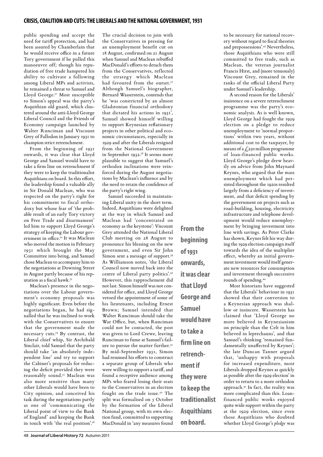public spending and accept the need for tariff protection, and had been assured by Chamberlain that he would receive office in a future Tory government if he pulled this manoeuvre off; though his repudiation of free trade hampered his ability to cultivate a following among Liberal MPs and activists, he remained a threat to Samuel and Lloyd George.31 Most susceptible to Simon's appeal was the party's Asquithian old guard, which clustered around the anti-Lloyd George Liberal Council and the Friends of Economy campaign launched by Walter Runciman and Viscount Grey of Fallodon in January 1931 to champion strict retrenchment.

From the beginning of 1931 onwards, it was clear that Lloyd George and Samuel would have to take a firm line on retrenchment if they were to keep the traditionalist Asquithians on board. In this effort, the leadership found a valuable ally in Sir Donald Maclean, who was respected on the party's right for his commitment to fiscal orthodoxy but whose fear of 'the probable result of an early Tory victory on Free Trade and disarmament' led him to support Lloyd George's strategy of keeping the Labour government in office.32 It was Maclean who moved the motion in February 1931 which brought the May Committee into being, and Samuel chose Maclean to accompany him to the negotiations at Downing Street in August partly because of his reputation as a fiscal hawk.33

Maclean's presence in the negotiations over the Labour government's economy proposals was highly significant. Even before the negotiations began, he had signalled that he was inclined to work with the Conservatives to ensure that the government made the necessary cuts.34 By contrast, the Liberal chief whip, Sir Archibald Sinclair, told Samuel that the party should take 'an absolutely independent line' and try to support the Cabinet's proposals for reducing the deficit provided they were reasonably sound.35 Maclean was also more sensitive than many other Liberals would have been to City opinion, and conceived his task during the negotiations partly as one of 'communicating the Liberal point of view to the Bank of England' and keeping the Bank in touch with 'the real position'.36

The crucial decision to join with the Conservatives in pressing for an unemployment benefit cut on 18 August, confirmed on 21 August when Samuel and Maclean rebuffed MacDonald's efforts to detach them from the Conservatives, reflected the strategy which Maclean had favoured from the outset.<sup>37</sup> Although Samuel's biographer, Bernard Wasserstein, contends that he 'was constricted by an almost Gladstonian financial orthodoxy that dictated his actions in 1931', Samuel showed himself willing to support Keynesian reflationary projects in other political and economic circumstances, especially in 1929 and after the Liberals resigned from the National Government in September 1932.<sup>38</sup> It seems more plausible to suggest that Samuel's orthodox inclinations were reinforced during the August negotiations by Maclean's influence and by the need to retain the confidence of the party's right wing.

Samuel succeeded in maintaining Liberal unity in the short term. Indeed, Asquithians were delighted at the way in which Samuel and Maclean had 'concentrated on economy as the keystone': Viscount Grey attended the National Liberal Club meeting on 28 August to pronounce his blessing on the new government, and even Sir John Simon sent a message of support.39 As Williamson notes, 'the Liberal Council now moved back into the centre of Liberal party politics'.40 However, this rapprochement did not last. Simon himself was not considered for office, and Lloyd George vetoed the appointment of some of his lieutenants, including Ernest Brown; Samuel intended that Walter Runciman should take the War Office, but, when Runciman could not be contacted, the post was given to Lord Crewe, leaving Runciman to fume at Samuel's failure to pursue the matter further.<sup>41</sup> By mid-September 1931, Simon had resumed his efforts to construct a separate group of Liberals who were willing to support a tariff, and found a receptive audience among MPs who feared losing their seats to the Conservatives in an election fought on the trade issue.42 The split was formalised on 5 October by the formation of the Liberal National group, with its own election fund, committed to supporting MacDonald in 'any measures found

**From the beginning of 1931 onwards, it was clear that Lloyd George and Samuel would have to take a firm line on retrenchment if they were to keep the traditionalist Asquithians on board.**

to be necessary for national recovery without regard to fiscal theories and prepossessions'.43 Nevertheless, those Asquithians who were still committed to free trade, such as Maclean, the veteran journalist Francis Hirst, and (more tenuously) Viscount Grey, remained in the ranks of the official Liberal Party under Samuel's leadership.

A second reason for the Liberals' insistence on a severe retrenchment programme was the party's economic analysis. As is well known, Lloyd George had fought the 1929 election on a pledge to reduce unemployment to 'normal proportions' within two years, without additional cost to the taxpayer, by means of a  $\zeta$ 250 million programme of loan-financed public works. Lloyd George's pledge drew heavily on advice from John Maynard Keynes, who argued that the mass unemployment which had persisted throughout the 1920s resulted largely from a deficiency of investment, and that deficit spending by the government on projects such as road-building, housing, electricity infrastructure and telephone development would reduce unemployment by bringing investment into line with savings. As Peter Clarke has shown, Keynes felt his way during the 1929 election campaign itself towards the idea of the multiplier effect, whereby an initial government investment would itself generate new resources for consumption and investment through successive rounds of spending.44

Most historians have suggested that the Liberals' behaviour in 1931 showed that their conversion to a Keynesian approach was shallow or insincere. Wasserstein has claimed that 'Lloyd George no more believed in Keynesianism on principle than the Celt in him believed in leprechauns', and that Samuel's thinking 'remained fundamentally unaffected by Keynes'; the late Duncan Tanner argued that, 'unhappy with proposals for increased expenditure, most Liberals dropped Keynes as quickly as possible after the 1929 election' in order to return to a more orthodox approach.45 In fact, the reality was more complicated than this. Loanfinanced public works enjoyed quite wide support within the party at the 1929 election, since even those Asquithians who doubted whether Lloyd George's *pledge* was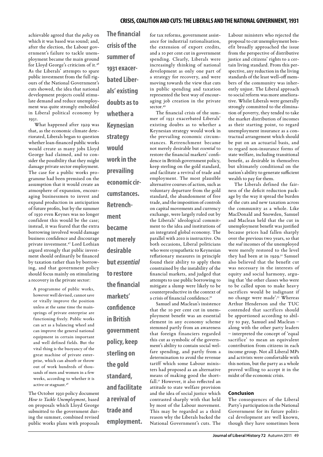achievable agreed that the *policy* on which it was based was sound; and, after the election, the Labour government's failure to tackle unemployment became the main ground for Lloyd George's criticism of it.46 As the Liberals' attempts to spare public investment from the full rigours of the National Government's cuts showed, the idea that national development projects could stimulate demand and reduce unemployment was quite strongly embedded in Liberal political economy by 1931.

What happened after 1929 was that, as the economic climate deteriorated, Liberals began to question whether loan-financed public works would create as many jobs Lloyd George had claimed, and to consider the possibility that they might damage private sector employment. The case for a public works programme had been premised on the assumption that it would create an atmosphere of expansion, encouraging businessmen to invest and expand production in anticipation of future profits, but by the summer of 1930 even Keynes was no longer confident this would be the case; instead, it was feared that the extra borrowing involved would damage business confidence and discourage private investment.47 Lord Lothian argued strongly that public investment should ordinarily be financed by taxation rather than by borrowing, and that government policy should focus mainly on stimulating a recovery in the private sector:

A programme of public works, however well devised, cannot save or vitally improve the position unless at the same time the mainsprings of private enterprise are functioning freely. Public works can act as a balancing wheel and can improve the general national equipment in certain important and well defined fields. But the vital thing is the buoyancy of the great machine of private enterprise, which can absorb or throw out of work hundreds of thousands of men and women in a few weeks, according to whether it is active or stagnant.48

The October 1930 policy document *How to Tackle Unemployment*, based on proposals which Lloyd George submitted to the government during the summer, combined revised public works plans with proposals **The financial crisis of the summer of 1931 exacerbated Liberals' existing doubts as to whether a Keynesian strategy would work in the prevailing economic circumstances. Retrenchment became not merely desirable but** *essential* **to restore the financial markets' confidence in British government policy, keep sterling on the gold standard, and facilitate a revival of trade and** 

**employment.** 

for tax reforms, government assistance for industrial rationalisation, the extension of export credits, and a 10 per cent cut in government spending. Clearly, Liberals were increasingly thinking of national development as only one part of a strategy for recovery, and were moving towards the view that cuts in public spending and taxation represented the best way of encouraging job creation in the private sector.<sup>49</sup>

The financial crisis of the summer of 1931 exacerbated Liberals' existing doubts as to whether a Keynesian strategy would work in the prevailing economic circumstances. Retrenchment became not merely desirable but *essential* to restore the financial markets' confidence in British government policy, keep sterling on the gold standard, and facilitate a revival of trade and employment. The most plausible alternative courses of action, such as voluntary departure from the gold standard, the abandonment of free trade, and the imposition of controls on capital movements and currency exchange, were largely ruled out by the Liberals' ideological commitment to the idea and institutions of an integrated global economy. The parallel with 2010 is instructive. On both occasions, Liberal politicians who were sympathetic to Keynesian reflationary measures in principle found their ability to apply them constrained by the instability of the financial markets, and judged that attempts to use public borrowing to mitigate a slump were likely to be counterproductive in the context of a crisis of financial confidence.<sup>50</sup>

Samuel and Maclean's insistence that the 10 per cent cut in unemployment benefit was an essential element in any economy scheme stemmed partly from an awareness that foreign financiers regarded this cut as symbolic of the government's ability to contain social welfare spending, and partly from a determination to avoid the revenue tariff which some Labour ministers had proposed as an alternative means of making good the shortfall.51 However, it also reflected an attitude to state welfare provision and the idea of social justice which contrasted sharply with that held by most of the Labour movement. This may be regarded as a third reason why the Liberals backed the National Government's cuts. The

Labour ministers who rejected the proposal to cut unemployment benefit broadly approached the issue from the perspective of distributive justice and citizens' rights to a certain living standard. From this perspective, any reduction in the living standards of the least well-off members of the community was inherently unjust. The Liberal approach to social reform was more ameliorative. Whilst Liberals were generally strongly committed to the elimination of poverty, they tended to take the market distribution of incomes as their starting point, to regard unemployment insurance as a contractual arrangement which should be put on an actuarial basis, and to regard non-insurance forms of state welfare, including transitional benefit, as desirable in themselves but ultimately conditional on the nation's ability to generate sufficient wealth to pay for them.

The Liberals defined the fairness of the deficit reduction package by the way it spread the burden of the cuts and new taxation across the community as a whole. Like MacDonald and Snowden, Samuel and Maclean held that the cut in unemployment benefit was justified because prices had fallen sharply over the previous two years, so that the *real* incomes of the unemployed were merely restored to the level they had been at in 1929.<sup>52</sup> Samuel also believed that the benefit cut was necessary in the interests of equity and social harmony, arguing that 'the other classes who were to be called upon to make heavy sacrifices would be indignant if no change were made'.<sup>53</sup> Whereas Arthur Henderson and the TUC contended that sacrifices should be apportioned according to ability to pay, Samuel and Maclean – along with the other party leaders – interpreted the concept of 'equal sacrifice' to mean an equivalent contribution from citizens in each income group. Not all Liberal MPs and activists were comfortable with this notion, but the party as a whole proved willing to accept it in the midst of the economic crisis.

### **Conclusion**

The consequences of the Liberal Party's participation in the National Government for its future political development are well known, though they have sometimes been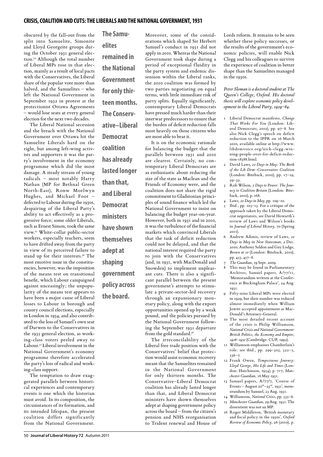obscured by the fall-out from the split into Samuelite, Simonite and Lloyd Georgeite groups during the October 1931 general election.54 Although the total number of Liberal MPs rose in that election, mainly as a result of local pacts with the Conservatives, the Liberal share of the popular vote more than halved, and the Samuelites – who left the National Government in September 1932 in protest at the protectionist Ottawa Agreements would lose seats at every general election for the next two decades.

The Liberal National secession and the breach with the National Government over Ottawa hit the Samuelite Liberals hard on the right, but among left-wing activists and supporters it was the party's involvement in the economy programme which did the most damage. A steady stream of young radicals – most notably Harry Nathan (MP for Bethnal Green North-East), Ronw Moelwyn Hughes, and Michael Foot – defected to Labour during the 1930s, despairing of the Liberal Party's ability to act effectively as a progressive force; some older Liberals, such as Ernest Simon, took the same view.55 White-collar public-sector workers, especially teachers, seem to have drifted away from the party in view of its perceived failure to stand up for their interests.<sup>56</sup> The most emotive issue in the constituencies, however, was the imposition of the means test on transitional benefit, which Labour campaigned against unceasingly; the unpopularity of the means test appears to have been a major cause of Liberal losses to Labour in borough and county council elections, especially in London in 1934, and also contributed to the loss of Samuel's own seat of Darwen to the Conservatives in the 1935 general election, as working-class voters peeled away to Labour.<sup>57</sup> Liberal involvement in the National Government's economy programme therefore accelerated the party's loss of radical and working-class support.

The temptation to draw exaggerated parallels between historical experiences and contemporary events is one which the historian must avoid. In its composition, the circumstances of its formation, and its intended lifespan, the present coalition differs significantly from the National Government.

**The Samuelites remained in the National Government for only thirteen months. The Conservative–Liberal Democrat coalition has already lasted longer than that, and Liberal Democrat ministers have shown themselves adept at shaping government policy across the board.**

Moreover, some of the considerations which shaped Sir Herbert Samuel's conduct in 1931 did not apply in 2010. Whereas the National Government took shape during a period of exceptional fluidity in the party system and endemic dissension within the Liberal ranks, the 2010 coalition was formed by two parties negotiating on equal terms, with little immediate risk of party splits. Equally significantly, contemporary Liberal Democrats have pressed much harder than their interwar predecessors to ensure that the burden of deficit reduction falls most heavily on those citizens who are most able to bear it.

It is on the economic rationale for balancing the budget that the parallels between 1931 and 2010 are clearest. Certainly, no contemporary Liberal Democrats are as enthusiastic about reducing the size of the state as Maclean and the Friends of Economy were, and the coalition does not share the rigid commitment to Gladstonian principles of sound finance which led the National Government to insist on balancing the budget year-on-year. However, both in 1931 and in 2010, it was the turbulence of the financial markets which convinced Liberals that the task of deficit reduction could not be delayed, and that the national interest required the party to join with the Conservatives (and, in 1931, with MacDonald and Snowden) to implement unpleasant cuts. There is also a significant parallel between the present government's attempts to stimulate a private-sector-led recovery through an expansionary monetary policy, along with the export opportunities opened up by a weak pound, and the policies pursued by the National Government following the September 1931 departure from the gold standard.<sup>58</sup>

The irreconcilability of the Liberal free trade position with the Conservatives' belief that protection would assist economic recovery meant that the Samuelites remained in the National Government for only thirteen months. The Conservative–Liberal Democrat coalition has already lasted longer than that, and Liberal Democrat ministers have shown themselves adept at shaping government policy across the board – from the citizen's pension and NHS reorganisation to Trident renewal and House of Lords reform. It remains to be seen whether these policy successes, or the results of the government's economic policies, will enable Nick Clegg and his colleagues to survive the experience of coalition in better shape than the Samuelites managed in the 1930s.

*Peter Sloman is a doctoral student at The Queen's College, Oxford. His doctoral thesis will explore economic policy development in the Liberal Party, 1929–64.*

- 1 Liberal Democrat manifesto, *Change That Works For You* (London: Liberal Democrats, 2010), pp. 97–8. See also Nick Clegg's speech on deficit reduction to the IPPR on 16 March 2010, available online at http://www. libdemvoice.org/nick-clegg-winning-people-over-for-deficit-reduction-18388.html.
- 2 David Laws, *22 Days in May: The Birth of the Lib Dem–Conservative Coalition* (London: Biteback, 2010), pp. 17–19,  $20 - 32.$
- 3 Rob Wilson, *5 Days to Power: The Journey to Coalition Britain* (London: Biteback, 2010), p. 168.
- 4 Laws, *22 Days in May*, pp. 109–10.
- 5 Ibid., pp.  $105-13$ . For a critique of the approach taken by the Liberal Democrat negotiators, see David Howarth's review of Laws and Wilson's books in *Journal of Liberal History*, 70 (Spring 2011).
- 6 Andrew Adonis, review of Laws, *22 Days in May* in *New Statesman*, 2 Dec. 2010; Anthony Seldon and Guy Lodge, *Brown at 10* (London: Biteback, 2010), pp. 453, 457–8.
- 7 *The Guardian*, 19 Sept. 2009.
- 8 This may be found in Parliamentary Archives, Samuel papers, A/77/11, 'Memorandum written at the Conference at Buckingham Palace', 24 Aug. 1931.
- 9 Fifty-nine Liberal MPs were elected in 1929, but their number was reduced almost immediately when William Jowitt accepted appointment as Mac-Donald's Attorney-General.
- 10 The most detailed recent account of the crisis is Philip Williamson, *National Crisis and National Government: British Politics, the Economy and Empire, 1926–1932* (Cambridge: CUP, 1992).
- 11 Williamson emphasises Chamberlain's role: see ibid., pp. 299–303, 322–5, 336–7.
- 12 Frank Owen, *Tempestuous Journey: Lloyd George, His Life and Times* (London: Hutchinson, 1954), p. 717; *Manchester Guardian*, 16 May 1931.
- 13 Samuel papers, A/77/7, 'Course of Events – August 20<sup>th</sup>–23<sup>rd</sup>, 1931', memorandum by Samuel, 23 Aug. 1931.
- 14 Williamson, *National Crisis*, pp. 335–6. 15 *Manchester Guardian*, 29 Aug. 1931. The dissentient was not an MP.
- 16 Roger Middleton, 'British monetary and fiscal policy in the 1930s', *Oxford Review of Economic Policy*, 26 (2010), p.